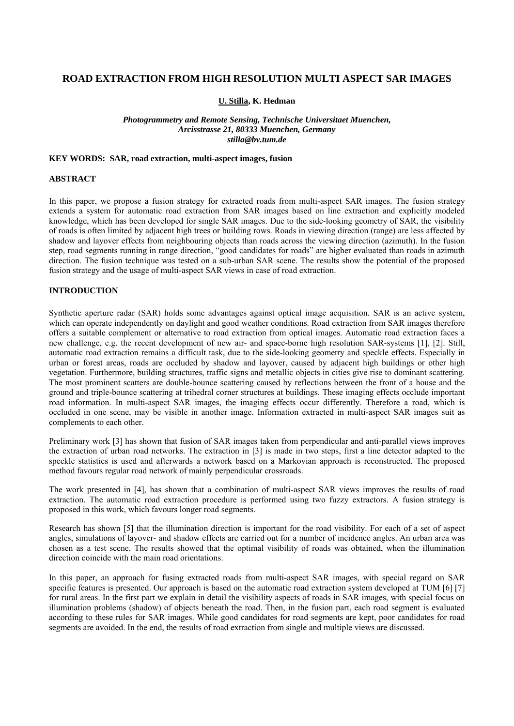# **ROAD EXTRACTION FROM HIGH RESOLUTION MULTI ASPECT SAR IMAGES**

**U. Stilla, K. Hedman** 

*Photogrammetry and Remote Sensing, Technische Universitaet Muenchen, Arcisstrasse 21, 80333 Muenchen, Germany stilla@bv.tum.de* 

## **KEY WORDS: SAR, road extraction, multi-aspect images, fusion**

#### **ABSTRACT**

In this paper, we propose a fusion strategy for extracted roads from multi-aspect SAR images. The fusion strategy extends a system for automatic road extraction from SAR images based on line extraction and explicitly modeled knowledge, which has been developed for single SAR images. Due to the side-looking geometry of SAR, the visibility of roads is often limited by adjacent high trees or building rows. Roads in viewing direction (range) are less affected by shadow and layover effects from neighbouring objects than roads across the viewing direction (azimuth). In the fusion step, road segments running in range direction, "good candidates for roads" are higher evaluated than roads in azimuth direction. The fusion technique was tested on a sub-urban SAR scene. The results show the potential of the proposed fusion strategy and the usage of multi-aspect SAR views in case of road extraction.

## **INTRODUCTION**

Synthetic aperture radar (SAR) holds some advantages against optical image acquisition. SAR is an active system, which can operate independently on daylight and good weather conditions. Road extraction from SAR images therefore offers a suitable complement or alternative to road extraction from optical images. Automatic road extraction faces a new challenge, e.g. the recent development of new air- and space-borne high resolution SAR-systems [1], [2]. Still, automatic road extraction remains a difficult task, due to the side-looking geometry and speckle effects. Especially in urban or forest areas, roads are occluded by shadow and layover, caused by adjacent high buildings or other high vegetation. Furthermore, building structures, traffic signs and metallic objects in cities give rise to dominant scattering. The most prominent scatters are double-bounce scattering caused by reflections between the front of a house and the ground and triple-bounce scattering at trihedral corner structures at buildings. These imaging effects occlude important road information. In multi-aspect SAR images, the imaging effects occur differently. Therefore a road, which is occluded in one scene, may be visible in another image. Information extracted in multi-aspect SAR images suit as complements to each other.

Preliminary work [3] has shown that fusion of SAR images taken from perpendicular and anti-parallel views improves the extraction of urban road networks. The extraction in [3] is made in two steps, first a line detector adapted to the speckle statistics is used and afterwards a network based on a Markovian approach is reconstructed. The proposed method favours regular road network of mainly perpendicular crossroads.

The work presented in [4], has shown that a combination of multi-aspect SAR views improves the results of road extraction. The automatic road extraction procedure is performed using two fuzzy extractors. A fusion strategy is proposed in this work, which favours longer road segments.

Research has shown [5] that the illumination direction is important for the road visibility. For each of a set of aspect angles, simulations of layover- and shadow effects are carried out for a number of incidence angles. An urban area was chosen as a test scene. The results showed that the optimal visibility of roads was obtained, when the illumination direction coincide with the main road orientations.

In this paper, an approach for fusing extracted roads from multi-aspect SAR images, with special regard on SAR specific features is presented. Our approach is based on the automatic road extraction system developed at TUM [6] [7] for rural areas. In the first part we explain in detail the visibility aspects of roads in SAR images, with special focus on illumination problems (shadow) of objects beneath the road. Then, in the fusion part, each road segment is evaluated according to these rules for SAR images. While good candidates for road segments are kept, poor candidates for road segments are avoided. In the end, the results of road extraction from single and multiple views are discussed.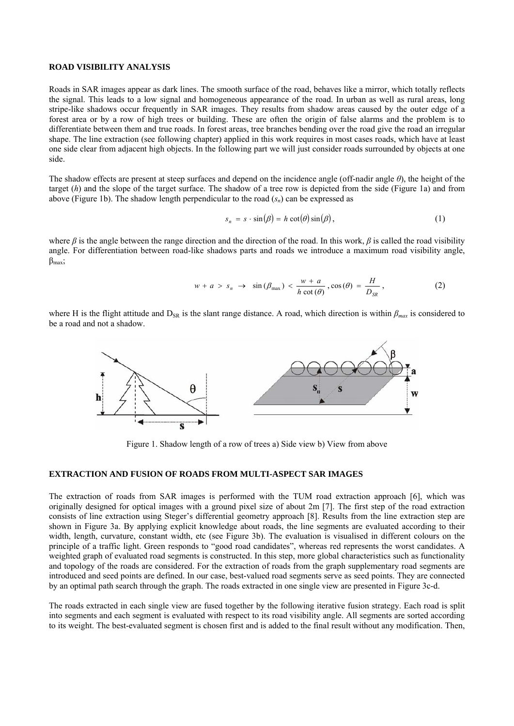### **ROAD VISIBILITY ANALYSIS**

Roads in SAR images appear as dark lines. The smooth surface of the road, behaves like a mirror, which totally reflects the signal. This leads to a low signal and homogeneous appearance of the road. In urban as well as rural areas, long stripe-like shadows occur frequently in SAR images. They results from shadow areas caused by the outer edge of a forest area or by a row of high trees or building. These are often the origin of false alarms and the problem is to differentiate between them and true roads. In forest areas, tree branches bending over the road give the road an irregular shape. The line extraction (see following chapter) applied in this work requires in most cases roads, which have at least one side clear from adjacent high objects. In the following part we will just consider roads surrounded by objects at one side.

The shadow effects are present at steep surfaces and depend on the incidence angle (off-nadir angle *θ*), the height of the target (*h*) and the slope of the target surface. The shadow of a tree row is depicted from the side (Figure 1a) and from above (Figure 1b). The shadow length perpendicular to the road  $(s_n)$  can be expressed as

$$
s_n = s \cdot \sin(\beta) = h \cot(\theta) \sin(\beta), \tag{1}
$$

where  $\beta$  is the angle between the range direction and the direction of the road. In this work,  $\beta$  is called the road visibility angle. For differentiation between road-like shadows parts and roads we introduce a maximum road visibility angle,  $\beta_{\text{max}}$ ;

$$
w + a > s_n \to \sin(\beta_{\text{max}}) < \frac{w + a}{h \cot(\theta)}, \cos(\theta) = \frac{H}{D_{SR}},
$$
 (2)

where H is the flight attitude and  $D_{SR}$  is the slant range distance. A road, which direction is within  $\beta_{max}$  is considered to be a road and not a shadow.



Figure 1. Shadow length of a row of trees a) Side view b) View from above

## **EXTRACTION AND FUSION OF ROADS FROM MULTI-ASPECT SAR IMAGES**

The extraction of roads from SAR images is performed with the TUM road extraction approach [6], which was originally designed for optical images with a ground pixel size of about 2m [7]. The first step of the road extraction consists of line extraction using Steger's differential geometry approach [8]. Results from the line extraction step are shown in Figure 3a. By applying explicit knowledge about roads, the line segments are evaluated according to their width, length, curvature, constant width, etc (see Figure 3b). The evaluation is visualised in different colours on the principle of a traffic light. Green responds to "good road candidates", whereas red represents the worst candidates. A weighted graph of evaluated road segments is constructed. In this step, more global characteristics such as functionality and topology of the roads are considered. For the extraction of roads from the graph supplementary road segments are introduced and seed points are defined. In our case, best-valued road segments serve as seed points. They are connected by an optimal path search through the graph. The roads extracted in one single view are presented in Figure 3c-d.

The roads extracted in each single view are fused together by the following iterative fusion strategy. Each road is split into segments and each segment is evaluated with respect to its road visibility angle. All segments are sorted according to its weight. The best-evaluated segment is chosen first and is added to the final result without any modification. Then,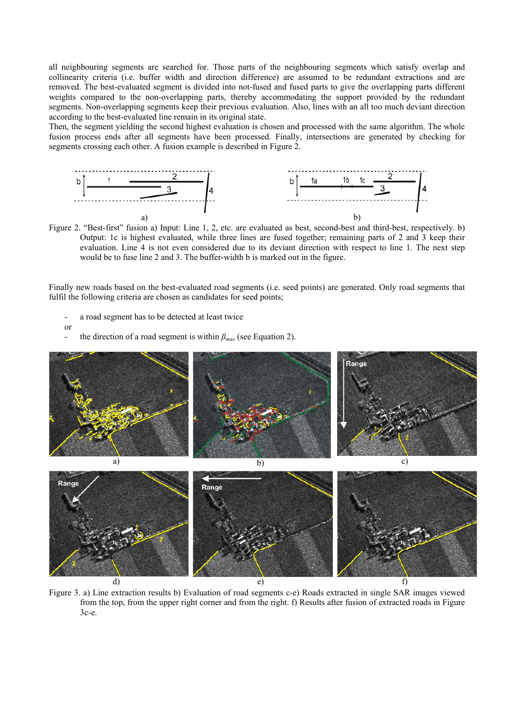all neighbouring segments are searched for. Those parts of the neighbouring segments which satisfy overlap and collinearity criteria (i.e. buffer width and direction difference) are assumed to be redundant extractions and are removed. The best-evaluated segment is divided into not-fused and fused parts to give the overlapping parts different weights compared to the non-overlapping parts, thereby accommodating the support provided by the redundant segments. Non-overlapping segments keep their previous evaluation. Also, lines with an all too much deviant direction according to the best-evaluated line remain in its original state.

Then, the segment yielding the second highest evaluation is chosen and processed with the same algorithm. The whole fusion process ends after all segments have been processed. Finally, intersections are generated by checking for segments crossing each other. A fusion example is described in Figure 2.



Figure 2. "Best-first" fusion a) Input: Line 1, 2, etc. are evaluated as best, second-best and third-best, respectively. b) Output: 1c is highest evaluated, while three lines are fused together; remaining parts of 2 and 3 keep their evaluation. Line 4 is not even considered due to its deviant direction with respect to line 1. The next step would be to fuse line 2 and 3. The buffer-width b is marked out in the figure.

Finally new roads based on the best-evaluated road segments (i.e. seed points) are generated. Only road segments that fulfil the following criteria are chosen as candidates for seed points;

- a road segment has to be detected at least twice
- or
- the direction of a road segment is within  $\beta_{max}$  (see Equation 2).



Figure 3. a) Line extraction results b) Evaluation of road segments c-e) Roads extracted in single SAR images viewed from the top, from the upper right corner and from the right. f) Results after fusion of extracted roads in Figure 3c-e.